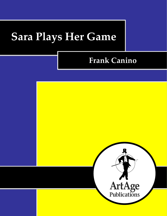# **Sara Plays Her Game**

# **Frank Canino**

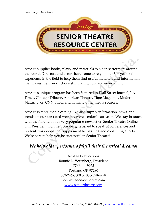

ArtAge supplies books, plays, and materials to older performers around the world. Directors and actors have come to rely on our 30+ years of experience in the field to help them find useful materials and information that makes their productions stimulating, fun, and entertaining.

ArtAge's unique program has been featured in Wall Street Journal, LA Times, Chicago Tribune, American Theatre, Time Magazine, Modern Maturity, on CNN, NBC, and in many other media sources.

ArtAge is more than a catalog. We also supply information, news, and trends on our top-rated website, www.seniortheatre.com. We stay in touch with the field with our very popular e-newsletter, Senior Theatre Online. Our President, Bonnie Vorenberg, is asked to speak at conferences and present workshops that supplement her writing and consulting efforts. We're here to help you be successful in Senior Theatre!

# *We help older performers fulfill their theatrical dreams!*

ArtAge Publications Bonnie L. Vorenberg, President PO Box 19955 Portland OR 97280 503-246-3000 or 800-858-4998 bonniev@seniortheatre.com [www.seniortheatre.com](http://www.seniortheatre.com/)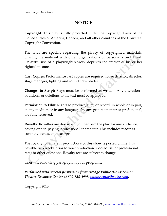### **NOTICE**

**Copyright:** This play is fully protected under the Copyright Laws of the United States of America, Canada, and all other countries of the Universal Copyright Convention.

The laws are specific regarding the piracy of copyrighted materials. Sharing the material with other organizations or persons is prohibited. Unlawful use of a playwright's work deprives the creator of his or her rightful income.

**Cast Copies:** Performance cast copies are required for each actor, director, stage manager, lighting and sound crew leader.

**Changes to Script:** Plays must be performed as written. Any alterations, additions, or deletions to the text must be approved.

**Permission to Film:** Rights to produce, film, or record, in whole or in part, in any medium or in any language, by any group amateur or professional, are fully reserved.

**Royalty:** Royalties are due when you perform the play for any audience, paying or non-paying, professional or amateur. This includes readings, cuttings, scenes, and excerpts.

The royalty for amateur productions of this show is posted online. It is payable two weeks prior to your production. Contact us for professional rates or other questions. Royalty fees are subject to change.

Insert the following paragraph in your programs:

*Performed with special permission from ArtAge Publications' Senior Theatre Resource Center at 800-858-4998, [www.seniortheatre.com.](http://www.seniortheatre.com/)*

Copyright 2013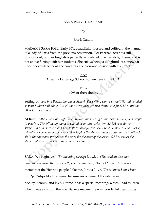#### SARA PLAYS HER GAME

#### by

#### Frank Canino

MADAME SARA JOEL: Early 60's, beautifully dressed and coiffed in the manner of a lady of Paris from the previous generation. Her Parisian accent is still pronounced, but her English is perfectly articulated. She has style, charm, and is not above flirting with her students. She enjoys being a delightful--if somewhat unorthodox--teacher as she conducts a one-on-one session with a student.

> Place A Berlitz Language School, somewhere in the USA.

> > Time 1995 or thereabouts.

Setting: *A room in a Berlitz Language School. The setting can be as realistic and detailed as your budget will allow. But all that is required are two chairs: one for SARA and the other for the student.*

At Rise: *SARA enters through the audience, murmuring "Bon Jour" as she greets people*  in passing. The following moment should be an improvisation: SARA asks for her *student to come forward and take his/her chair for the next French lesson. She will tease, wheedle or charm an audience member to play the student, which only require him/her to sit in the chair and pronounce the word for the start of the lesson. SARA settles the student at ease in the chair and starts the class.*

SARA: We begin, yes? *(Enunciating clearly*) Jeu...Jeu! *(The student does not pronounce it correctly. Sara gently corrects him/her.)* No, not "Jew." A Jew is a member of the Hebrew people. Like me. Je suis Juive. *(Translation: I am a Jew)*. But "jeu"--lips like this, mon cher--means a game. All kinds. Your hockey...tennis...and love. For me it has a special meaning, which I had to learn when I was a child in the war. Believe me, my life was wonderful then: living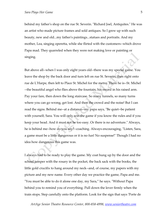behind my father's shop on the rue St. Severin. "Richard Joel, Antiquites." He was an artist who made picture frames and sold antiques. So I grew up with such beauty, new and old...my father's paintings...statues and portraits. And my mother, Lea, singing operetta, while she flirted with the customers--which drove Papa mad. They quarreled when they were not making love or painting or singing.

But above all--when I was only eight years old--there was my special game. You leave the shop by the back door and turn left on rue St. Severin, then right onto rue de L'Harpe, then left to Place St. Michel for the metro. There he is--St. Michel --the beautiful angel who flies above the fountain, his sword in his raised arm. Pay your fare, then down the long staircase. So many tunnels, so many turns where you can go wrong, get lost. And then the crowd and the noise! But I can read the signs. Behind me--at a distance--my papa says, "Be quiet--be patient with yourself, Sara. You will only win the game if you know the rules and if you keep your head. And it must not be too easy. Or there is no adventure." Always, he is behind me--how do you say?--coaching. Always encouraging, "Listen, Sara, a game must be a little dangerous or it is no fun! No suspense!" Though I had no idea how dangerous this game was.

I always had to be ready to play the game. My coat hung up by the door and the school jumper with the rosary in the pocket, the back sack with the books, the little gold crucifix to hang around my neck--and, of course, my papers with my picture and my new name. Every other day we practice the game, Papa and me. "You must be able to do it alone one day, my Sara," he says. "Without Papa behind you to remind you of everything. Pull down the lever firmly when the train stops. Step carefully onto the platform. Look for the sign that says 'Porte de

*ArtAge Senior Theatre Resource Center, 800-858-4998, [www.seniortheatre.com](http://www.seniortheatre.com/)*